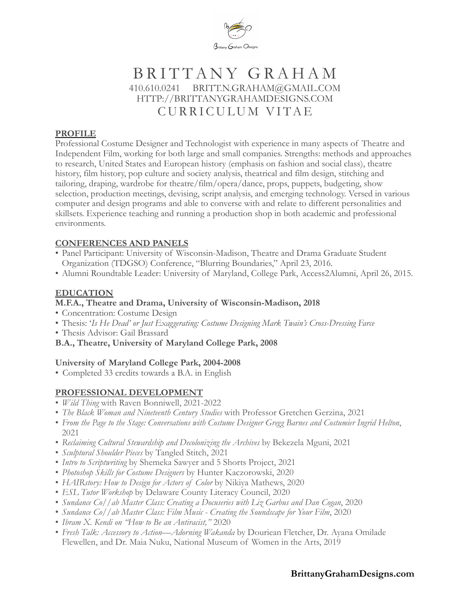

# BRITTANY GRAHAM 410.610.0241 BRITT.N.GRAHAM@GMAIL.COM HTTP://BRITTANYGRAHAMDESIGNS.COM CURRICULUM VITAE

#### **PROFILE**

Professional Costume Designer and Technologist with experience in many aspects of Theatre and Independent Film, working for both large and small companies. Strengths: methods and approaches to research, United States and European history (emphasis on fashion and social class), theatre history, film history, pop culture and society analysis, theatrical and film design, stitching and tailoring, draping, wardrobe for theatre/film/opera/dance, props, puppets, budgeting, show selection, production meetings, devising, script analysis, and emerging technology. Versed in various computer and design programs and able to converse with and relate to different personalities and skillsets. Experience teaching and running a production shop in both academic and professional environments.

#### **CONFERENCES AND PANELS**

- Panel Participant: University of Wisconsin-Madison, Theatre and Drama Graduate Student Organization (TDGSO) Conference, "Blurring Boundaries," April 23, 2016.
- Alumni Roundtable Leader: University of Maryland, College Park, Access2Alumni, April 26, 2015.

#### **EDUCATION**

#### **M.F.A., Theatre and Drama, University of Wisconsin-Madison, 2018**

- Concentration: Costume Design
- Thesis: '*Is He Dead' or Just Exaggerating: Costume Designing Mark Twain's Cross-Dressing Farce*
- Thesis Advisor: Gail Brassard
- **B.A., Theatre, University of Maryland College Park, 2008**

#### **University of Maryland College Park, 2004-2008**

• Completed 33 credits towards a B.A. in English

# **PROFESSIONAL DEVELOPMENT**

- *Wild Thing* with Raven Bonniwell, 2021-2022
- *The Black Woman and Nineteenth Century Studies* with Professor Gretchen Gerzina, 2021
- *From the Page to the Stage: Conversations with Costume Designer Gregg Barnes and Costumier Ingrid Helton*, 2021
- *Reclaiming Cultural Stewardship and Decolonizing the Archives* by Bekezela Mguni, 2021
- *Sculptural Shoulder Pieces* by Tangled Stitch, 2021
- *Intro to Scriptwriting* by Shemeka Sawyer and 5 Shorts Project, 2021
- *Photoshop Skills for Costume Designers* by Hunter Kaczorowski, 2020
- *HAIRstory: How to Design for Actors of Color* by Nikiya Mathews, 2020
- *ESL Tutor Workshop* by Delaware County Literacy Council, 2020
- *Sundance Co//ab Master Class: Creating a Docuseries with Liz Garbus and Dan Cogan*, 2020
- *Sundance Co//ab Master Class: Film Music Creating the Soundscape for Your Film*, 2020
- *Ibram X. Kendi on "How to Be an Antiracist,"* 2020
- *Fresh Talk: Accessory to Action—Adorning Wakanda* by Douriean Fletcher, Dr. Ayana Omilade Flewellen, and Dr. Maia Nuku, National Museum of Women in the Arts, 2019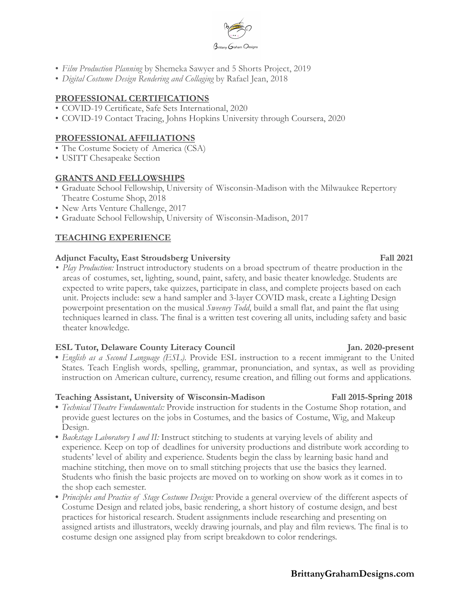

- *Film Production Planning* by Shemeka Sawyer and 5 Shorts Project, 2019
- *Digital Costume Design Rendering and Collaging* by Rafael Jean, 2018

#### **PROFESSIONAL CERTIFICATIONS**

- COVID-19 Certificate, Safe Sets International, 2020
- COVID-19 Contact Tracing, Johns Hopkins University through Coursera, 2020

#### **PROFESSIONAL AFFILIATIONS**

- The Costume Society of America (CSA)
- USITT Chesapeake Section

#### **GRANTS AND FELLOWSHIPS**

- Graduate School Fellowship, University of Wisconsin-Madison with the Milwaukee Repertory Theatre Costume Shop, 2018
- New Arts Venture Challenge, 2017
- Graduate School Fellowship, University of Wisconsin-Madison, 2017

# **TEACHING EXPERIENCE**

#### **Adjunct Faculty, East Stroudsberg University Fall 2021**

*• Play Production:* Instruct introductory students on a broad spectrum of theatre production in the areas of costumes, set, lighting, sound, paint, safety, and basic theater knowledge. Students are expected to write papers, take quizzes, participate in class, and complete projects based on each unit. Projects include: sew a hand sampler and 3-layer COVID mask, create a Lighting Design powerpoint presentation on the musical *Sweeney Todd*, build a small flat, and paint the flat using techniques learned in class. The final is a written test covering all units, including safety and basic theater knowledge.

#### **ESL Tutor, Delaware County Literacy Council Jan. 2020-present**

**•** *English as a Second Language (ESL).* Provide ESL instruction to a recent immigrant to the United States. Teach English words, spelling, grammar, pronunciation, and syntax, as well as providing instruction on American culture, currency, resume creation, and filling out forms and applications.

#### **Teaching Assistant, University of Wisconsin-Madison Fall 2015-Spring 2018**

- **•** *Technical Theatre Fundamentals:* Provide instruction for students in the Costume Shop rotation, and provide guest lectures on the jobs in Costumes, and the basics of Costume, Wig, and Makeup Design.
- **•** *Backstage Laboratory I and II:* Instruct stitching to students at varying levels of ability and experience. Keep on top of deadlines for university productions and distribute work according to students' level of ability and experience. Students begin the class by learning basic hand and machine stitching, then move on to small stitching projects that use the basics they learned. Students who finish the basic projects are moved on to working on show work as it comes in to the shop each semester.
- **•** *Principles and Practice of Stage Costume Design:* Provide a general overview of the different aspects of Costume Design and related jobs, basic rendering, a short history of costume design, and best practices for historical research. Student assignments include researching and presenting on assigned artists and illustrators, weekly drawing journals, and play and film reviews. The final is to costume design one assigned play from script breakdown to color renderings.

# **BrittanyGrahamDesigns.com**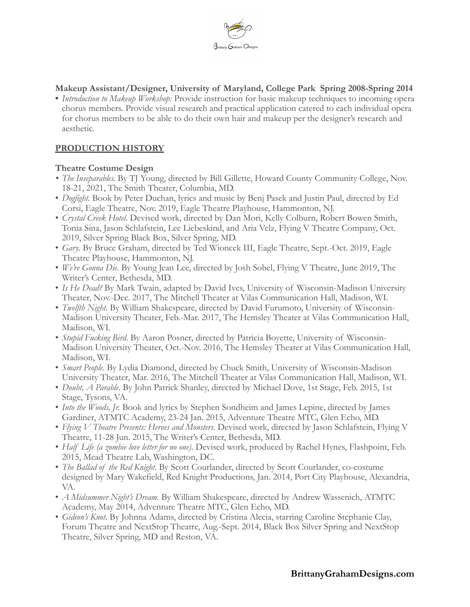

**Makeup Assistant/Designer, University of Maryland, College Park Spring 2008-Spring 2014**

**•** *Introduction to Makeup Workshop:* Provide instruction for basic makeup techniques to incoming opera chorus members. Provide visual research and practical application catered to each individual opera for chorus members to be able to do their own hair and makeup per the designer's research and aesthetic.

#### **PRODUCTION HISTORY**

#### **Theatre Costume Design**

- *• The Inseparables.* By TJ Young, directed by Bill Gillette, Howard County Community College, Nov. 18-21, 2021, The Smith Theater, Columbia, MD.
- *Dogfight.* Book by Peter Duchan, lyrics and music by Benj Pasek and Justin Paul, directed by Ed Corsi, Eagle Theatre, Nov. 2019, Eagle Theatre Playhouse, Hammonton, NJ.
- *Crystal Creek Hotel*. Devised work, directed by Dan Mori, Kelly Colburn, Robert Bowen Smith, Tonia Sina, Jason Schlafstein, Lee Liebeskind, and Aria Velz, Flying V Theatre Company, Oct. 2019, Silver Spring Black Box, Silver Spring, MD.
- *Gary*. By Bruce Graham, directed by Ted Wioncek III, Eagle Theatre, Sept.-Oct. 2019, Eagle Theatre Playhouse, Hammonton, NJ.
- *We're Gonna Die*. By Young Jean Lee, directed by Josh Sobel, Flying V Theatre, June 2019, The Writer's Center, Bethesda, MD.
- *Is He Dead?* By Mark Twain, adapted by David Ives, University of Wisconsin-Madison University Theater, Nov.-Dec. 2017, The Mitchell Theater at Vilas Communication Hall, Madison, WI.
- *Twelfth Night*. By William Shakespeare, directed by David Furumoto, University of Wisconsin-Madison University Theater, Feb.-Mar. 2017, The Hemsley Theater at Vilas Communication Hall, Madison, WI.
- *Stupid Fucking Bird*. By Aaron Posner, directed by Patricia Boyette, University of Wisconsin-Madison University Theater, Oct.-Nov. 2016, The Hemsley Theater at Vilas Communication Hall, Madison, WI.
- *Smart People*. By Lydia Diamond, directed by Chuck Smith, University of Wisconsin-Madison University Theater, Mar. 2016, The Mitchell Theater at Vilas Communication Hall, Madison, WI.
- *Doubt, A Parable*. By John Patrick Shanley, directed by Michael Dove, 1st Stage, Feb. 2015, 1st Stage, Tysons, VA.
- *Into the Woods, Jr.* Book and lyrics by Stephen Sondheim and James Lepine, directed by James Gardiner, ATMTC Academy, 23-24 Jan. 2015, Adventure Theatre MTC, Glen Echo, MD.
- *Flying V Theatre Presents: Heroes and Monsters*. Devised work, directed by Jason Schlafstein, Flying V Theatre, 11-28 Jun. 2015, The Writer's Center, Bethesda, MD.
- *Half Life (a zombie love letter for no one)*. Devised work, produced by Rachel Hynes, Flashpoint, Feb. 2015, Mead Theatre Lab, Washington, DC.
- *The Ballad of the Red Knight*. By Scott Courlander, directed by Scott Courlander, co-costume designed by Mary Wakefield, Red Knight Productions, Jan. 2014, Port City Playhouse, Alexandria, VA.
- *A Midsummer Night's Dream.* By William Shakespeare, directed by Andrew Wassenich, ATMTC Academy, May 2014, Adventure Theatre MTC, Glen Echo, MD.
- *Gideon's Knot*. By Johnna Adams, directed by Cristina Alecia, starring Caroline Stephanie Clay, Forum Theatre and NextStop Theatre, Aug.-Sept. 2014, Black Box Silver Spring and NextStop Theatre, Silver Spring, MD and Reston, VA.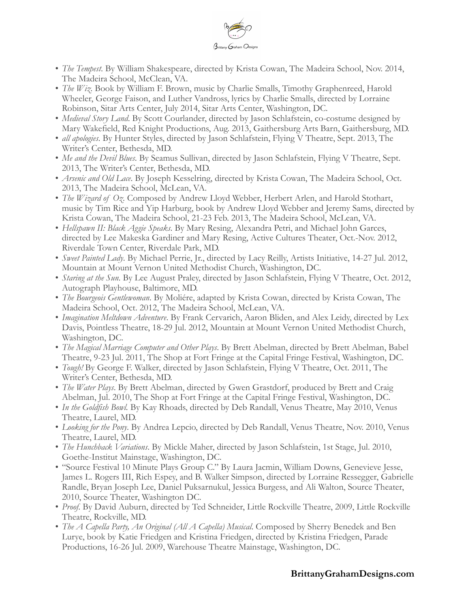

- *The Tempest*. By William Shakespeare, directed by Krista Cowan, The Madeira School, Nov. 2014, The Madeira School, McClean, VA.
- *The Wiz*. Book by William F. Brown, music by Charlie Smalls, Timothy Graphenreed, Harold Wheeler, George Faison, and Luther Vandross, lyrics by Charlie Smalls, directed by Lorraine Robinson, Sitar Arts Center, July 2014, Sitar Arts Center, Washington, DC.
- *Medieval Story Land*. By Scott Courlander, directed by Jason Schlafstein, co-costume designed by Mary Wakefield, Red Knight Productions, Aug. 2013, Gaithersburg Arts Barn, Gaithersburg, MD.
- *all apologies*. By Hunter Styles, directed by Jason Schlafstein, Flying V Theatre, Sept. 2013, The Writer's Center, Bethesda, MD.
- *Me and the Devil Blues*. By Seamus Sullivan, directed by Jason Schlafstein, Flying V Theatre, Sept. 2013, The Writer's Center, Bethesda, MD.
- *Arsenic and Old Lace*. By Joseph Kesselring, directed by Krista Cowan, The Madeira School, Oct. 2013, The Madeira School, McLean, VA.
- *The Wizard of Oz*. Composed by Andrew Lloyd Webber, Herbert Arlen, and Harold Stothart, music by Tim Rice and Yip Harburg, book by Andrew Lloyd Webber and Jeremy Sams, directed by Krista Cowan, The Madeira School, 21-23 Feb. 2013, The Madeira School, McLean, VA.
- *Hellspawn II: Black Aggie Speaks*. By Mary Resing, Alexandra Petri, and Michael John Garces, directed by Lee Makeska Gardiner and Mary Resing, Active Cultures Theater, Oct.-Nov. 2012, Riverdale Town Center, Riverdale Park, MD.
- *Sweet Painted Lady*. By Michael Perrie, Jr., directed by Lacy Reilly, Artists Initiative, 14-27 Jul. 2012, Mountain at Mount Vernon United Methodist Church, Washington, DC.
- *Staring at the Sun*. By Lee August Praley, directed by Jason Schlafstein, Flying V Theatre, Oct. 2012, Autograph Playhouse, Baltimore, MD.
- *The Bourgeois Gentlewoman*. By Moliére, adapted by Krista Cowan, directed by Krista Cowan, The Madeira School, Oct. 2012, The Madeira School, McLean, VA.
- *Imagination Meltdown Adventure*. By Frank Cervarich, Aaron Bliden, and Alex Leidy, directed by Lex Davis, Pointless Theatre, 18-29 Jul. 2012, Mountain at Mount Vernon United Methodist Church, Washington, DC.
- *The Magical Marriage Computer and Other Plays*. By Brett Abelman, directed by Brett Abelman, Babel Theatre, 9-23 Jul. 2011, The Shop at Fort Fringe at the Capital Fringe Festival, Washington, DC.
- *Tough!* By George F. Walker, directed by Jason Schlafstein, Flying V Theatre, Oct. 2011, The Writer's Center, Bethesda, MD.
- *The Water Plays*. By Brett Abelman, directed by Gwen Grastdorf, produced by Brett and Craig Abelman, Jul. 2010, The Shop at Fort Fringe at the Capital Fringe Festival, Washington, DC.
- *In the Goldfish Bowl.* By Kay Rhoads, directed by Deb Randall, Venus Theatre, May 2010, Venus Theatre, Laurel, MD.
- *Looking for the Pony*. By Andrea Lepcio, directed by Deb Randall, Venus Theatre, Nov. 2010, Venus Theatre, Laurel, MD.
- *The Hunchback Variations*. By Mickle Maher, directed by Jason Schlafstein, 1st Stage, Jul. 2010, Goethe-Institut Mainstage, Washington, DC.
- "Source Festival 10 Minute Plays Group C." By Laura Jacmin, William Downs, Genevieve Jesse, James L. Rogers III, Rich Espey, and B. Walker Simpson, directed by Lorraine Ressegger, Gabrielle Randle, Bryan Joseph Lee, Daniel Puksarnukul, Jessica Burgess, and Ali Walton, Source Theater, 2010, Source Theater, Washington DC.
- *Proof*. By David Auburn, directed by Ted Schneider, Little Rockville Theatre, 2009, Little Rockville Theatre, Rockville, MD.
- *The A Capella Party, An Original (All A Capella) Musical*. Composed by Sherry Benedek and Ben Lurye, book by Katie Friedgen and Kristina Friedgen, directed by Kristina Friedgen, Parade Productions, 16-26 Jul. 2009, Warehouse Theatre Mainstage, Washington, DC.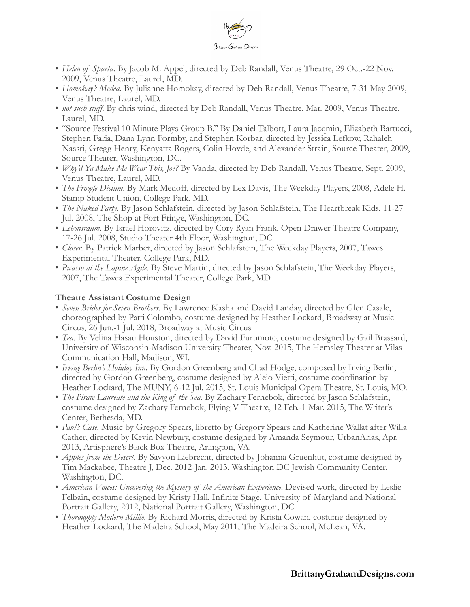

- *Helen of Sparta*. By Jacob M. Appel, directed by Deb Randall, Venus Theatre, 29 Oct.-22 Nov. 2009, Venus Theatre, Laurel, MD.
- *Homokay's Medea*. By Julianne Homokay, directed by Deb Randall, Venus Theatre, 7-31 May 2009, Venus Theatre, Laurel, MD.
- *not such stuff*. By chris wind, directed by Deb Randall, Venus Theatre, Mar. 2009, Venus Theatre, Laurel, MD.
- "Source Festival 10 Minute Plays Group B." By Daniel Talbott, Laura Jacqmin, Elizabeth Bartucci, Stephen Faria, Dana Lynn Formby, and Stephen Korbar, directed by Jessica Lefkow, Rahaleh Nassri, Gregg Henry, Kenyatta Rogers, Colin Hovde, and Alexander Strain, Source Theater, 2009, Source Theater, Washington, DC.
- *Why'd Ya Make Me Wear This, Joe?* By Vanda, directed by Deb Randall, Venus Theatre, Sept. 2009, Venus Theatre, Laurel, MD.
- *The Froegle Dictum*. By Mark Medoff, directed by Lex Davis, The Weekday Players, 2008, Adele H. Stamp Student Union, College Park, MD.
- *The Naked Party*. By Jason Schlafstein, directed by Jason Schlafstein, The Heartbreak Kids, 11-27 Jul. 2008, The Shop at Fort Fringe, Washington, DC.
- *Lebensraum*. By Israel Horovitz, directed by Cory Ryan Frank, Open Drawer Theatre Company, 17-26 Jul. 2008, Studio Theater 4th Floor, Washington, DC.
- *Closer*. By Patrick Marber, directed by Jason Schlafstein, The Weekday Players, 2007, Tawes Experimental Theater, College Park, MD.
- *Picasso at the Lapine Agile*. By Steve Martin, directed by Jason Schlafstein, The Weekday Players, 2007, The Tawes Experimental Theater, College Park, MD.

#### **Theatre Assistant Costume Design**

- *Seven Brides for Seven Brothers*. By Lawrence Kasha and David Landay, directed by Glen Casale, choreographed by Patti Colombo, costume designed by Heather Lockard, Broadway at Music Circus, 26 Jun.-1 Jul. 2018, Broadway at Music Circus
- *Tea*. By Velina Hasau Houston, directed by David Furumoto, costume designed by Gail Brassard, University of Wisconsin-Madison University Theater, Nov. 2015, The Hemsley Theater at Vilas Communication Hall, Madison, WI.
- *Irving Berlin's Holiday Inn*. By Gordon Greenberg and Chad Hodge, composed by Irving Berlin, directed by Gordon Greenberg, costume designed by Alejo Vietti, costume coordination by Heather Lockard, The MUNY, 6-12 Jul. 2015, St. Louis Municipal Opera Theatre, St. Louis, MO.
- *The Pirate Laureate and the King of the Sea*. By Zachary Fernebok, directed by Jason Schlafstein, costume designed by Zachary Fernebok, Flying V Theatre, 12 Feb.-1 Mar. 2015, The Writer's Center, Bethesda, MD.
- *Paul's Case.* Music by Gregory Spears, libretto by Gregory Spears and Katherine Wallat after Willa Cather, directed by Kevin Newbury, costume designed by Amanda Seymour, UrbanArias, Apr. 2013, Artisphere's Black Box Theatre, Arlington, VA.
- *Apples from the Desert*. By Savyon Liebrecht, directed by Johanna Gruenhut, costume designed by Tim Mackabee, Theatre J, Dec. 2012-Jan. 2013, Washington DC Jewish Community Center, Washington, DC.
- *American Voices: Uncovering the Mystery of the American Experience*. Devised work, directed by Leslie Felbain, costume designed by Kristy Hall, Infinite Stage, University of Maryland and National Portrait Gallery, 2012, National Portrait Gallery, Washington, DC.
- *Thoroughly Modern Millie*. By Richard Morris, directed by Krista Cowan, costume designed by Heather Lockard, The Madeira School, May 2011, The Madeira School, McLean, VA.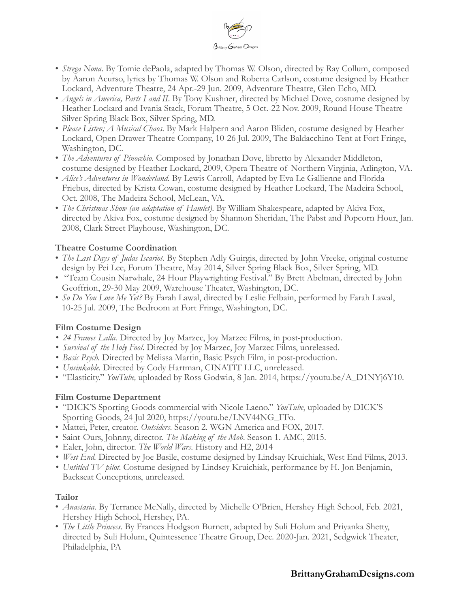

- *Strega Nona*. By Tomie dePaola, adapted by Thomas W. Olson, directed by Ray Collum, composed by Aaron Acurso, lyrics by Thomas W. Olson and Roberta Carlson, costume designed by Heather Lockard, Adventure Theatre, 24 Apr.-29 Jun. 2009, Adventure Theatre, Glen Echo, MD.
- *Angels in America, Parts I and II*. By Tony Kushner, directed by Michael Dove, costume designed by Heather Lockard and Ivania Stack, Forum Theatre, 5 Oct.-22 Nov. 2009, Round House Theatre Silver Spring Black Box, Silver Spring, MD.
- *Please Listen; A Musical Chaos*. By Mark Halpern and Aaron Bliden, costume designed by Heather Lockard, Open Drawer Theatre Company, 10-26 Jul. 2009, The Baldacchino Tent at Fort Fringe, Washington, DC.
- *The Adventures of Pinocchio*. Composed by Jonathan Dove, libretto by Alexander Middleton, costume designed by Heather Lockard, 2009, Opera Theatre of Northern Virginia, Arlington, VA.
- *Alice's Adventures in Wonderland*. By Lewis Carroll, Adapted by Eva Le Gallienne and Florida Friebus, directed by Krista Cowan, costume designed by Heather Lockard, The Madeira School, Oct. 2008, The Madeira School, McLean, VA.
- *The Christmas Show (an adaptation of Hamlet)*. By William Shakespeare, adapted by Akiva Fox, directed by Akiva Fox, costume designed by Shannon Sheridan, The Pabst and Popcorn Hour, Jan. 2008, Clark Street Playhouse, Washington, DC.

# **Theatre Costume Coordination**

- *The Last Days of Judas Iscariot*. By Stephen Adly Guirgis, directed by John Vreeke, original costume design by Pei Lee, Forum Theatre, May 2014, Silver Spring Black Box, Silver Spring, MD.
- "Team Cousin Narwhale, 24 Hour Playwrighting Festival." By Brett Abelman, directed by John Geoffrion, 29-30 May 2009, Warehouse Theater, Washington, DC.
- *So Do You Love Me Yet?* By Farah Lawal, directed by Leslie Felbain, performed by Farah Lawal, 10-25 Jul. 2009, The Bedroom at Fort Fringe, Washington, DC.

# **Film Costume Design**

- *• 24 Frames Lalla.* Directed by Joy Marzec, Joy Marzec Films, in post-production.
- *• Survival of the Holy Fool*. Directed by Joy Marzec, Joy Marzec Films, unreleased.
- *• Basic Psych.* Directed by Melissa Martin, Basic Psych Film, in post-production.
- *• Unsinkable.* Directed by Cody Hartman, CINATIT LLC, unreleased.
- "Elasticity." *YouTube,* uploaded by Ross Godwin, 8 Jan. 2014, https://youtu.be/A\_D1NYj6Y10.

# **Film Costume Department**

- "DICK'S Sporting Goods commercial with Nicole Laeno." *YouTube*, uploaded by DICK'S Sporting Goods, 24 Jul 2020, https://youtu.be/LNV44NG\_FFo.
- Mattei, Peter, creator. *Outsiders*. Season 2. WGN America and FOX, 2017.
- Saint-Ours, Johnny, director. *The Making of the Mob*. Season 1. AMC, 2015.
- Ealer, John, director. *The World Wars*. History and H2, 2014
- *• West End.* Directed by Joe Basile, costume designed by Lindsay Kruichiak, West End Films, 2013.
- *• Untitled TV pilot*. Costume designed by Lindsey Kruichiak, performance by H. Jon Benjamin, Backseat Conceptions, unreleased.

# **Tailor**

- *Anastasia*. By Terrance McNally, directed by Michelle O'Brien, Hershey High School, Feb. 2021, Hershey High School, Hershey, PA.
- *The Little Princess*. By Frances Hodgson Burnett, adapted by Suli Holum and Priyanka Shetty, directed by Suli Holum, Quintessence Theatre Group, Dec. 2020-Jan. 2021, Sedgwick Theater, Philadelphia, PA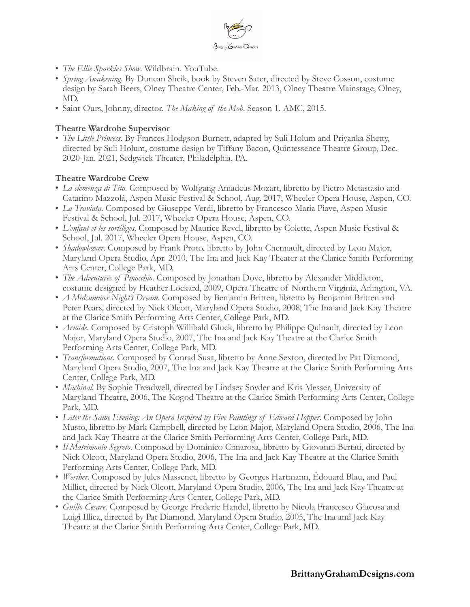

- *The Ellie Sparkles Show*. Wildbrain. YouTube.
- *Spring Awakening*. By Duncan Sheik, book by Steven Sater, directed by Steve Cosson, costume design by Sarah Beers, Olney Theatre Center, Feb.-Mar. 2013, Olney Theatre Mainstage, Olney, MD.
- Saint-Ours, Johnny, director. *The Making of the Mob*. Season 1. AMC, 2015.

#### **Theatre Wardrobe Supervisor**

• *The Little Princess*. By Frances Hodgson Burnett, adapted by Suli Holum and Priyanka Shetty, directed by Suli Holum, costume design by Tiffany Bacon, Quintessence Theatre Group, Dec. 2020-Jan. 2021, Sedgwick Theater, Philadelphia, PA.

#### **Theatre Wardrobe Crew**

- *La clemenza di Tito*. Composed by Wolfgang Amadeus Mozart, libretto by Pietro Metastasio and Catarino Mazzolá, Aspen Music Festival & School, Aug. 2017, Wheeler Opera House, Aspen, CO.
- *La Traviata*. Composed by Giuseppe Verdi, libretto by Francesco Maria Piave, Aspen Music Festival & School, Jul. 2017, Wheeler Opera House, Aspen, CO.
- *L'enfant et les sortilèges*. Composed by Maurice Revel, libretto by Colette, Aspen Music Festival & School, Jul. 2017, Wheeler Opera House, Aspen, CO.
- *Shadowboxer*. Composed by Frank Proto, libretto by John Chennault, directed by Leon Major, Maryland Opera Studio, Apr. 2010, The Ina and Jack Kay Theater at the Clarice Smith Performing Arts Center, College Park, MD.
- *The Adventures of Pinocchio*. Composed by Jonathan Dove, libretto by Alexander Middleton, costume designed by Heather Lockard, 2009, Opera Theatre of Northern Virginia, Arlington, VA.
- *A Midsummer Night's Dream*. Composed by Benjamin Britten, libretto by Benjamin Britten and Peter Pears, directed by Nick Olcott, Maryland Opera Studio, 2008, The Ina and Jack Kay Theatre at the Clarice Smith Performing Arts Center, College Park, MD.
- *Armide*. Composed by Cristoph Willibald Gluck, libretto by Philippe Qulnault, directed by Leon Major, Maryland Opera Studio, 2007, The Ina and Jack Kay Theatre at the Clarice Smith Performing Arts Center, College Park, MD.
- *Transformations*. Composed by Conrad Susa, libretto by Anne Sexton, directed by Pat Diamond, Maryland Opera Studio, 2007, The Ina and Jack Kay Theatre at the Clarice Smith Performing Arts Center, College Park, MD.
- *Machinal*. By Sophie Treadwell, directed by Lindsey Snyder and Kris Messer, University of Maryland Theatre, 2006, The Kogod Theatre at the Clarice Smith Performing Arts Center, College Park, MD.
- *Later the Same Evening: An Opera Inspired by Five Paintings of Edward Hopper*. Composed by John Musto, libretto by Mark Campbell, directed by Leon Major, Maryland Opera Studio, 2006, The Ina and Jack Kay Theatre at the Clarice Smith Performing Arts Center, College Park, MD.
- *Il Matrimonio Segreto*. Composed by Dominico Cimarosa, libretto by Giovanni Bertati, directed by Nick Olcott, Maryland Opera Studio, 2006, The Ina and Jack Kay Theatre at the Clarice Smith Performing Arts Center, College Park, MD.
- *Werther*. Composed by Jules Massenet, libretto by Georges Hartmann, Édouard Blau, and Paul Milliet, directed by Nick Olcott, Maryland Opera Studio, 2006, The Ina and Jack Kay Theatre at the Clarice Smith Performing Arts Center, College Park, MD.
- *Guilio Cesare*. Composed by George Frederic Handel, libretto by Nicola Francesco Giacosa and Luigi Illica, directed by Pat Diamond, Maryland Opera Studio, 2005, The Ina and Jack Kay Theatre at the Clarice Smith Performing Arts Center, College Park, MD.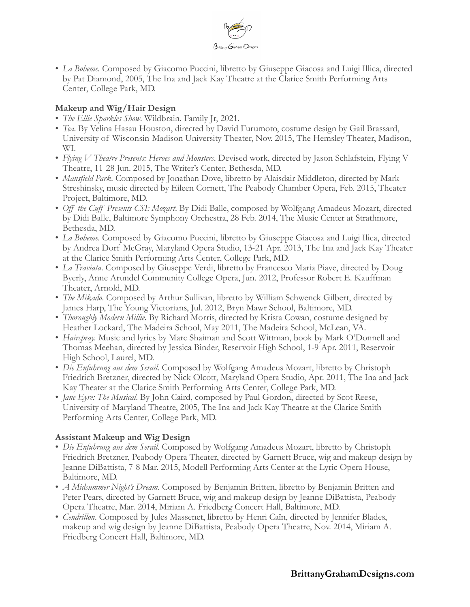

• *La Boheme*. Composed by Giacomo Puccini, libretto by Giuseppe Giacosa and Luigi Illica, directed by Pat Diamond, 2005, The Ina and Jack Kay Theatre at the Clarice Smith Performing Arts Center, College Park, MD.

#### **Makeup and Wig/Hair Design**

- *The Ellie Sparkles Show*. Wildbrain. Family Jr, 2021.
- *Tea*. By Velina Hasau Houston, directed by David Furumoto, costume design by Gail Brassard, University of Wisconsin-Madison University Theater, Nov. 2015, The Hemsley Theater, Madison, WI.
- *Flying V Theatre Presents: Heroes and Monsters*. Devised work, directed by Jason Schlafstein, Flying V Theatre, 11-28 Jun. 2015, The Writer's Center, Bethesda, MD.
- *Mansfield Park*. Composed by Jonathan Dove, libretto by Alaisdair Middleton, directed by Mark Streshinsky, music directed by Eileen Cornett, The Peabody Chamber Opera, Feb. 2015, Theater Project, Baltimore, MD.
- *Off the Cuff Presents CSI: Mozart*. By Didi Balle, composed by Wolfgang Amadeus Mozart, directed by Didi Balle, Baltimore Symphony Orchestra, 28 Feb. 2014, The Music Center at Strathmore, Bethesda, MD.
- *La Boheme*. Composed by Giacomo Puccini, libretto by Giuseppe Giacosa and Luigi Ilica, directed by Andrea Dorf McGray, Maryland Opera Studio, 13-21 Apr. 2013, The Ina and Jack Kay Theater at the Clarice Smith Performing Arts Center, College Park, MD.
- *La Traviata*. Composed by Giuseppe Verdi, libretto by Francesco Maria Piave, directed by Doug Byerly, Anne Arundel Community College Opera, Jun. 2012, Professor Robert E. Kauffman Theater, Arnold, MD.
- *The Mikado*. Composed by Arthur Sullivan, libretto by William Schwenck Gilbert, directed by James Harp, The Young Victorians, Jul. 2012, Bryn Mawr School, Baltimore, MD.
- *Thoroughly Modern Millie*. By Richard Morris, directed by Krista Cowan, costume designed by Heather Lockard, The Madeira School, May 2011, The Madeira School, McLean, VA.
- *Hairspray.* Music and lyrics by Marc Shaiman and Scott Wittman, book by Mark O'Donnell and Thomas Meehan, directed by Jessica Binder, Reservoir High School, 1-9 Apr. 2011, Reservoir High School, Laurel, MD.
- *Die Enfuhrung aus dem Serail*. Composed by Wolfgang Amadeus Mozart, libretto by Christoph Friedrich Bretzner, directed by Nick Olcott, Maryland Opera Studio, Apr. 2011, The Ina and Jack Kay Theater at the Clarice Smith Performing Arts Center, College Park, MD.
- *Jane Eyre: The Musical*. By John Caird, composed by Paul Gordon, directed by Scot Reese, University of Maryland Theatre, 2005, The Ina and Jack Kay Theatre at the Clarice Smith Performing Arts Center, College Park, MD.

# **Assistant Makeup and Wig Design**

- *Die Enfuhrung aus dem Serail*. Composed by Wolfgang Amadeus Mozart, libretto by Christoph Friedrich Bretzner, Peabody Opera Theater, directed by Garnett Bruce, wig and makeup design by Jeanne DiBattista, 7-8 Mar. 2015, Modell Performing Arts Center at the Lyric Opera House, Baltimore, MD.
- *A Midsummer Night's Dream*. Composed by Benjamin Britten, libretto by Benjamin Britten and Peter Pears, directed by Garnett Bruce, wig and makeup design by Jeanne DiBattista, Peabody Opera Theatre, Mar. 2014, Miriam A. Friedberg Concert Hall, Baltimore, MD.
- *Cendrillon*. Composed by Jules Massenet, libretto by Henri Caïn, directed by Jennifer Blades, makeup and wig design by Jeanne DiBattista, Peabody Opera Theatre, Nov. 2014, Miriam A. Friedberg Concert Hall, Baltimore, MD.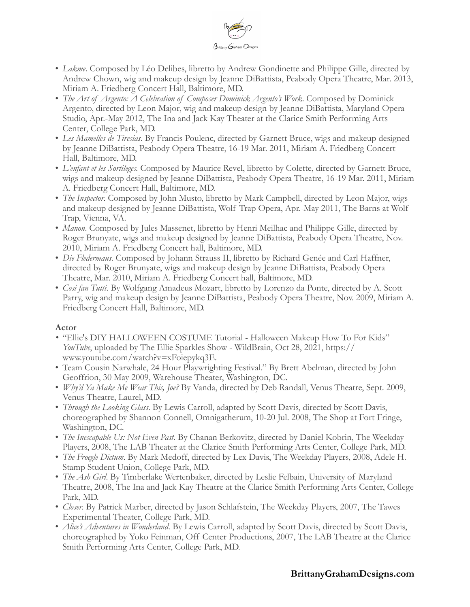

- *Lakme*. Composed by Léo Delibes, libretto by Andrew Gondinette and Philippe Gille, directed by Andrew Chown, wig and makeup design by Jeanne DiBattista, Peabody Opera Theatre, Mar. 2013, Miriam A. Friedberg Concert Hall, Baltimore, MD.
- *The Art of Argento: A Celebration of Composer Dominick Argento's Work*. Composed by Dominick Argento, directed by Leon Major, wig and makeup design by Jeanne DiBattista, Maryland Opera Studio, Apr.-May 2012, The Ina and Jack Kay Theater at the Clarice Smith Performing Arts Center, College Park, MD.
- *Les Mamelles de Tiresias*. By Francis Poulenc, directed by Garnett Bruce, wigs and makeup designed by Jeanne DiBattista, Peabody Opera Theatre, 16-19 Mar. 2011, Miriam A. Friedberg Concert Hall, Baltimore, MD.
- *L'enfant et les Sortileges.* Composed by Maurice Revel, libretto by Colette, directed by Garnett Bruce, wigs and makeup designed by Jeanne DiBattista, Peabody Opera Theatre, 16-19 Mar. 2011, Miriam A. Friedberg Concert Hall, Baltimore, MD.
- *The Inspector*. Composed by John Musto, libretto by Mark Campbell, directed by Leon Major, wigs and makeup designed by Jeanne DiBattista, Wolf Trap Opera, Apr.-May 2011, The Barns at Wolf Trap, Vienna, VA.
- *Manon*. Composed by Jules Massenet, libretto by Henri Meilhac and Philippe Gille, directed by Roger Brunyate, wigs and makeup designed by Jeanne DiBattista, Peabody Opera Theatre, Nov. 2010, Miriam A. Friedberg Concert hall, Baltimore, MD.
- *Die Fledermaus*. Composed by Johann Strauss II, libretto by Richard Genée and Carl Haffner, directed by Roger Brunyate, wigs and makeup design by Jeanne DiBattista, Peabody Opera Theatre, Mar. 2010, Miriam A. Friedberg Concert hall, Baltimore, MD.
- *Cosi fan Tutti*. By Wolfgang Amadeus Mozart, libretto by Lorenzo da Ponte, directed by A. Scott Parry, wig and makeup design by Jeanne DiBattista, Peabody Opera Theatre, Nov. 2009, Miriam A. Friedberg Concert Hall, Baltimore, MD.

# **Actor**

- *•* "Ellie's DIY HALLOWEEN COSTUME Tutorial Halloween Makeup How To For Kids" *YouTube*, uploaded by The Ellie Sparkles Show - WildBrain, Oct 28, 2021, https:// www.youtube.com/watch?v=xFoiepykq3E.
- Team Cousin Narwhale, 24 Hour Playwrighting Festival." By Brett Abelman, directed by John Geoffrion, 30 May 2009, Warehouse Theater, Washington, DC.
- *Why'd Ya Make Me Wear This, Joe?* By Vanda, directed by Deb Randall, Venus Theatre, Sept. 2009, Venus Theatre, Laurel, MD.
- *Through the Looking Glass*. By Lewis Carroll, adapted by Scott Davis, directed by Scott Davis, choreographed by Shannon Connell, Omnigatherum, 10-20 Jul. 2008, The Shop at Fort Fringe, Washington, DC.
- *The Inescapable Us: Not Even Past*. By Chanan Berkovitz, directed by Daniel Kobrin, The Weekday Players, 2008, The LAB Theater at the Clarice Smith Performing Arts Center, College Park, MD.
- *The Froegle Dictum*. By Mark Medoff, directed by Lex Davis, The Weekday Players, 2008, Adele H. Stamp Student Union, College Park, MD.
- *The Ash Girl*. By Timberlake Wertenbaker, directed by Leslie Felbain, University of Maryland Theatre, 2008, The Ina and Jack Kay Theatre at the Clarice Smith Performing Arts Center, College Park, MD.
- *Closer*. By Patrick Marber, directed by Jason Schlafstein, The Weekday Players, 2007, The Tawes Experimental Theater, College Park, MD.
- *Alice's Adventures in Wonderland*. By Lewis Carroll, adapted by Scott Davis, directed by Scott Davis, choreographed by Yoko Feinman, Off Center Productions, 2007, The LAB Theatre at the Clarice Smith Performing Arts Center, College Park, MD.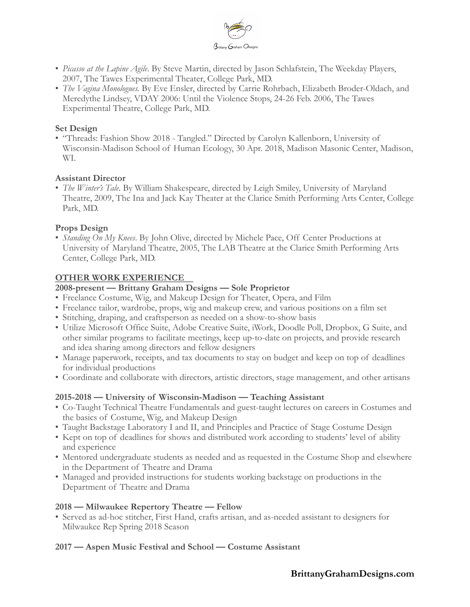

- *Picasso at the Lapine Agile*. By Steve Martin, directed by Jason Schlafstein, The Weekday Players, 2007, The Tawes Experimental Theater, College Park, MD.
- *The Vagina Monologues.* By Eve Ensler, directed by Carrie Rohrbach, Elizabeth Broder-Oldach, and Meredythe Lindsey, VDAY 2006: Until the Violence Stops, 24-26 Feb. 2006, The Tawes Experimental Theatre, College Park, MD.

#### **Set Design**

• "Threads: Fashion Show 2018 - Tangled." Directed by Carolyn Kallenborn, University of Wisconsin-Madison School of Human Ecology, 30 Apr. 2018, Madison Masonic Center, Madison, WI.

#### **Assistant Director**

• *The Winter's Tale*. By William Shakespeare, directed by Leigh Smiley, University of Maryland Theatre, 2009, The Ina and Jack Kay Theater at the Clarice Smith Performing Arts Center, College Park, MD.

#### **Props Design**

• *Standing On My Knees*. By John Olive, directed by Michele Pace, Off Center Productions at University of Maryland Theatre, 2005, The LAB Theatre at the Clarice Smith Performing Arts Center, College Park, MD.

#### **OTHER WORK EXPERIENCE**

#### **2008-present — Brittany Graham Designs — Sole Proprietor**

- Freelance Costume, Wig, and Makeup Design for Theater, Opera, and Film
- Freelance tailor, wardrobe, props, wig and makeup crew, and various positions on a film set
- Stitching, draping, and craftsperson as needed on a show-to-show basis
- Utilize Microsoft Office Suite, Adobe Creative Suite, iWork, Doodle Poll, Dropbox, G Suite, and other similar programs to facilitate meetings, keep up-to-date on projects, and provide research and idea sharing among directors and fellow designers
- Manage paperwork, receipts, and tax documents to stay on budget and keep on top of deadlines for individual productions
- Coordinate and collaborate with directors, artistic directors, stage management, and other artisans

# **2015-2018 — University of Wisconsin-Madison — Teaching Assistant**

- Co-Taught Technical Theatre Fundamentals and guest-taught lectures on careers in Costumes and the basics of Costume, Wig, and Makeup Design
- Taught Backstage Laboratory I and II, and Principles and Practice of Stage Costume Design
- Kept on top of deadlines for shows and distributed work according to students' level of ability and experience
- Mentored undergraduate students as needed and as requested in the Costume Shop and elsewhere in the Department of Theatre and Drama
- Managed and provided instructions for students working backstage on productions in the Department of Theatre and Drama

#### **2018 — Milwaukee Repertory Theatre — Fellow**

• Served as ad-hoc stitcher, First Hand, crafts artisan, and as-needed assistant to designers for Milwaukee Rep Spring 2018 Season

#### **2017 — Aspen Music Festival and School — Costume Assistant**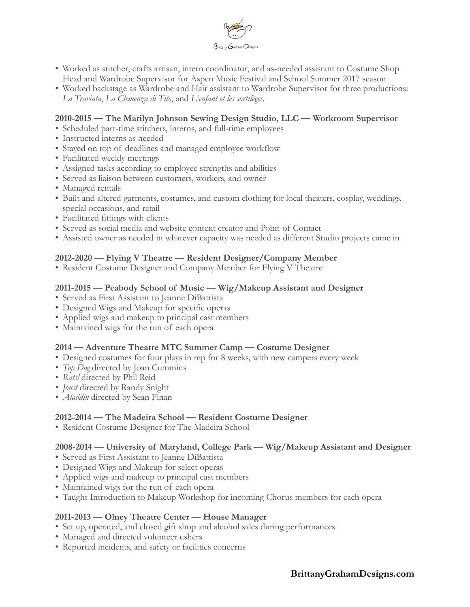

- Worked as stitcher, crafts artisan, intern coordinator, and as-needed assistant to Costume Shop Head and Wardrobe Supervisor for Aspen Music Festival and School Summer 2017 season
- Worked backstage as Wardrobe and Hair assistant to Wardrobe Supervisor for three productions: *La Traviata*, *La Clemenza di Tito*, and *L'enfant et les sortilèges.*

#### **2010-2015 — The Marilyn Johnson Sewing Design Studio, LLC — Workroom Supervisor**

- Scheduled part-time stitchers, interns, and full-time employees
- Instructed interns as needed
- Stayed on top of deadlines and managed employee workflow
- Facilitated weekly meetings
- Assigned tasks according to employee strengths and abilities
- Served as liaison between customers, workers, and owner
- Managed rentals
- Built and altered garments, costumes, and custom clothing for local theaters, cosplay, weddings, special occasions, and retail
- Facilitated fittings with clients
- Served as social media and website content creator and Point-of-Contact
- Assisted owner as needed in whatever capacity was needed as different Studio projects came in

#### **2012-2020 — Flying V Theatre — Resident Designer/Company Member**

• Resident Costume Designer and Company Member for Flying V Theatre

#### **2011-2015 — Peabody School of Music — Wig/Makeup Assistant and Designer**

- Served as First Assistant to Jeanne DiBattista
- Designed Wigs and Makeup for specific operas
- Applied wigs and makeup to principal cast members
- Maintained wigs for the run of each opera

#### **2014 — Adventure Theatre MTC Summer Camp — Costume Designer**

- Designed costumes for four plays in rep for 8 weeks, with new campers every week
- *Top Dog* directed by Joan Cummins
- *Rats!* directed by Phil Reid
- *Joust* directed by Randy Snight
- *Aladdin* directed by Sean Finan

#### **2012-2014 — The Madeira School — Resident Costume Designer**

• Resident Costume Designer for The Madeira School

#### **2008-2014 — University of Maryland, College Park — Wig/Makeup Assistant and Designer**

- Served as First Assistant to Jeanne DiBattista
- Designed Wigs and Makeup for select operas
- Applied wigs and makeup to principal cast members
- Maintained wigs for the run of each opera
- Taught Introduction to Makeup Workshop for incoming Chorus members for each opera

# **2011-2013 — Olney Theatre Center — House Manager**

- Set up, operated, and closed gift shop and alcohol sales during performances
- Managed and directed volunteer ushers
- Reported incidents, and safety or facilities concerns